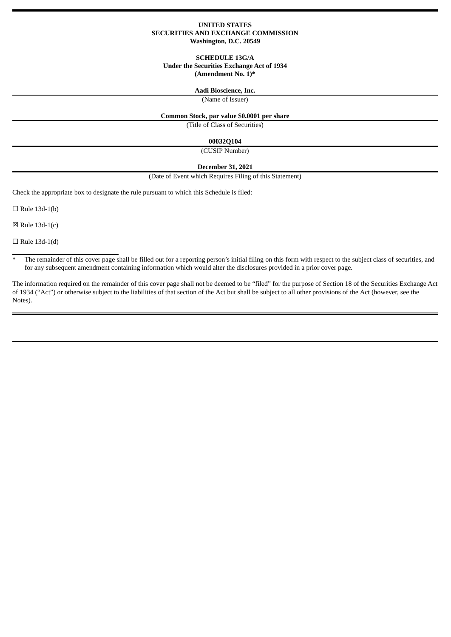## **UNITED STATES SECURITIES AND EXCHANGE COMMISSION Washington, D.C. 20549**

## **SCHEDULE 13G/A Under the Securities Exchange Act of 1934 (Amendment No. 1)\***

#### **Aadi Bioscience, Inc.**

(Name of Issuer)

## **Common Stock, par value \$0.0001 per share**

(Title of Class of Securities)

#### **00032Q104**

(CUSIP Number)

#### **December 31, 2021**

(Date of Event which Requires Filing of this Statement)

Check the appropriate box to designate the rule pursuant to which this Schedule is filed:

 $\Box$  Rule 13d-1(b)

 $\boxtimes$  Rule 13d-1(c)

 $\Box$  Rule 13d-1(d)

<sup>\*</sup> The remainder of this cover page shall be filled out for a reporting person's initial filing on this form with respect to the subject class of securities, and for any subsequent amendment containing information which would alter the disclosures provided in a prior cover page.

The information required on the remainder of this cover page shall not be deemed to be "filed" for the purpose of Section 18 of the Securities Exchange Act of 1934 ("Act") or otherwise subject to the liabilities of that section of the Act but shall be subject to all other provisions of the Act (however, see the Notes).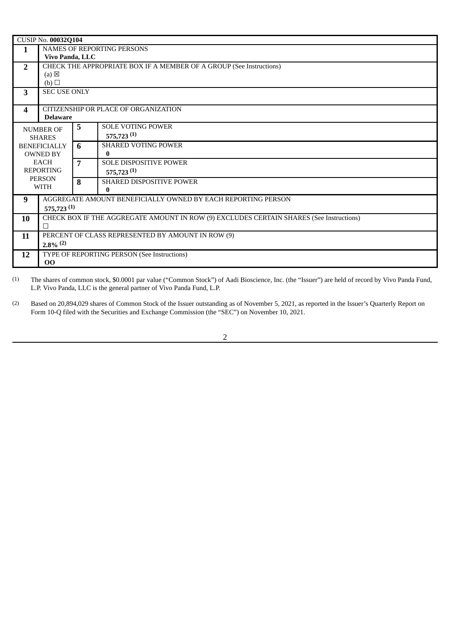|                              | CUSIP No. 00032Q104                                                                     |                |                                 |  |  |  |  |
|------------------------------|-----------------------------------------------------------------------------------------|----------------|---------------------------------|--|--|--|--|
| 1                            | NAMES OF REPORTING PERSONS                                                              |                |                                 |  |  |  |  |
|                              | Vivo Panda, LLC                                                                         |                |                                 |  |  |  |  |
| $\overline{2}$               | CHECK THE APPROPRIATE BOX IF A MEMBER OF A GROUP (See Instructions)                     |                |                                 |  |  |  |  |
|                              | $(a) \boxtimes$                                                                         |                |                                 |  |  |  |  |
|                              | (b)                                                                                     |                |                                 |  |  |  |  |
| 3                            | <b>SEC USE ONLY</b>                                                                     |                |                                 |  |  |  |  |
| 4                            | CITIZENSHIP OR PLACE OF ORGANIZATION                                                    |                |                                 |  |  |  |  |
|                              | <b>Delaware</b>                                                                         |                |                                 |  |  |  |  |
| <b>NUMBER OF</b>             |                                                                                         | 5              | <b>SOLE VOTING POWER</b>        |  |  |  |  |
| <b>SHARES</b>                |                                                                                         |                | $575,723$ <sup>(1)</sup>        |  |  |  |  |
| <b>BENEFICIALLY</b>          |                                                                                         | 6              | <b>SHARED VOTING POWER</b>      |  |  |  |  |
| <b>OWNED BY</b>              |                                                                                         |                | 0                               |  |  |  |  |
| <b>EACH</b>                  |                                                                                         | $\overline{7}$ | <b>SOLE DISPOSITIVE POWER</b>   |  |  |  |  |
| <b>REPORTING</b>             |                                                                                         |                | $575,723$ <sup>(1)</sup>        |  |  |  |  |
| <b>PERSON</b><br><b>WITH</b> |                                                                                         | 8              | <b>SHARED DISPOSITIVE POWER</b> |  |  |  |  |
|                              |                                                                                         |                | $\bf{0}$                        |  |  |  |  |
| 9                            | AGGREGATE AMOUNT BENEFICIALLY OWNED BY EACH REPORTING PERSON                            |                |                                 |  |  |  |  |
|                              | 575,723 <sup>(1)</sup>                                                                  |                |                                 |  |  |  |  |
| 10                           | CHECK BOX IF THE AGGREGATE AMOUNT IN ROW (9) EXCLUDES CERTAIN SHARES (See Instructions) |                |                                 |  |  |  |  |
|                              | П                                                                                       |                |                                 |  |  |  |  |
| 11                           | PERCENT OF CLASS REPRESENTED BY AMOUNT IN ROW (9)                                       |                |                                 |  |  |  |  |
|                              | $2.8\%$ <sup>(2)</sup>                                                                  |                |                                 |  |  |  |  |
| 12                           | TYPE OF REPORTING PERSON (See Instructions)                                             |                |                                 |  |  |  |  |
|                              | 00                                                                                      |                |                                 |  |  |  |  |

(1) The shares of common stock, \$0.0001 par value ("Common Stock") of Aadi Bioscience, Inc. (the "Issuer") are held of record by Vivo Panda Fund, L.P. Vivo Panda, LLC is the general partner of Vivo Panda Fund, L.P.

(2) Based on 20,894,029 shares of Common Stock of the Issuer outstanding as of November 5, 2021, as reported in the Issuer's Quarterly Report on Form 10-Q filed with the Securities and Exchange Commission (the "SEC") on November 10, 2021.

2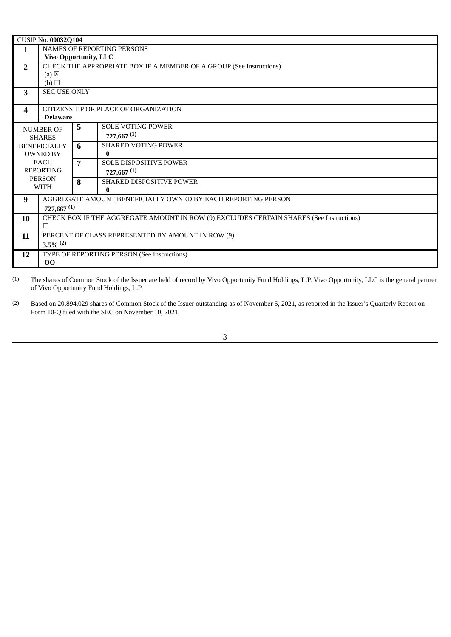| CUSIP No. 00032Q104          |                                                                                         |   |                            |  |  |  |
|------------------------------|-----------------------------------------------------------------------------------------|---|----------------------------|--|--|--|
| 1                            | NAMES OF REPORTING PERSONS                                                              |   |                            |  |  |  |
|                              | <b>Vivo Opportunity, LLC</b>                                                            |   |                            |  |  |  |
| $\overline{2}$               | CHECK THE APPROPRIATE BOX IF A MEMBER OF A GROUP (See Instructions)                     |   |                            |  |  |  |
|                              | $(a) \boxtimes$                                                                         |   |                            |  |  |  |
|                              | (b)<br><b>SEC USE ONLY</b>                                                              |   |                            |  |  |  |
| 3                            |                                                                                         |   |                            |  |  |  |
| 4                            | CITIZENSHIP OR PLACE OF ORGANIZATION                                                    |   |                            |  |  |  |
|                              | <b>Delaware</b>                                                                         |   |                            |  |  |  |
| <b>NUMBER OF</b>             |                                                                                         | 5 | <b>SOLE VOTING POWER</b>   |  |  |  |
| <b>SHARES</b>                |                                                                                         |   | $727,667$ <sup>(1)</sup>   |  |  |  |
| <b>BENEFICIALLY</b>          |                                                                                         | 6 | <b>SHARED VOTING POWER</b> |  |  |  |
| <b>OWNED BY</b>              |                                                                                         |   | 0                          |  |  |  |
| <b>EACH</b>                  |                                                                                         | 7 | SOLE DISPOSITIVE POWER     |  |  |  |
| <b>REPORTING</b>             |                                                                                         |   | $727,667$ <sup>(1)</sup>   |  |  |  |
| <b>PERSON</b><br><b>WITH</b> |                                                                                         | 8 | SHARED DISPOSITIVE POWER   |  |  |  |
|                              |                                                                                         |   | 0                          |  |  |  |
| 9                            | AGGREGATE AMOUNT BENEFICIALLY OWNED BY EACH REPORTING PERSON                            |   |                            |  |  |  |
|                              | $727,667$ <sup>(1)</sup>                                                                |   |                            |  |  |  |
| 10                           | CHECK BOX IF THE AGGREGATE AMOUNT IN ROW (9) EXCLUDES CERTAIN SHARES (See Instructions) |   |                            |  |  |  |
|                              | П                                                                                       |   |                            |  |  |  |
| 11                           | PERCENT OF CLASS REPRESENTED BY AMOUNT IN ROW (9)                                       |   |                            |  |  |  |
|                              | $3.5\%$ <sup>(2)</sup>                                                                  |   |                            |  |  |  |
| 12                           | TYPE OF REPORTING PERSON (See Instructions)<br>00                                       |   |                            |  |  |  |
|                              |                                                                                         |   |                            |  |  |  |

(1) The shares of Common Stock of the Issuer are held of record by Vivo Opportunity Fund Holdings, L.P. Vivo Opportunity, LLC is the general partner of Vivo Opportunity Fund Holdings, L.P.

(2) Based on 20,894,029 shares of Common Stock of the Issuer outstanding as of November 5, 2021, as reported in the Issuer's Quarterly Report on Form 10-Q filed with the SEC on November 10, 2021.

3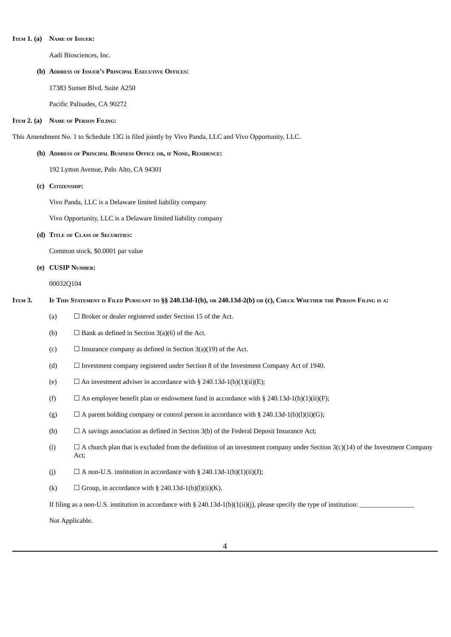#### **ITEM 1. (a) NAME OF ISSUER:**

Aadi Biosciences, Inc.

### **(b) ADDRESS OF ISSUER'<sup>S</sup> PRINCIPAL EXECUTIVE OFFICES:**

17383 Sunset Blvd, Suite A250

Pacific Palisades, CA 90272

### **ITEM 2. (a) NAME OF PERSON FILING:**

This Amendment No. 1 to Schedule 13G is filed jointly by Vivo Panda, LLC and Vivo Opportunity, LLC.

## **(b) ADDRESS OF PRINCIPAL BUSINESS OFFICE OR, IF NONE, RESIDENCE:**

192 Lytton Avenue, Palo Alto, CA 94301

**(c) CITIZENSHIP:**

Vivo Panda, LLC is a Delaware limited liability company

Vivo Opportunity, LLC is a Delaware limited liability company

### **(d) TITLE OF CLASS OF SECURITIES:**

Common stock, \$0.0001 par value

## **(e) CUSIP NUMBER:**

00032Q104

## ITEM 3. IF THIS STATEMENT IS FILED PURSUANT TO §§ 240.13d-1(b), OR 240.13d-2(b) OR (c), CHECK WHETHER THE PERSON FILING IS A:

- (a)  $\Box$  Broker or dealer registered under Section 15 of the Act.
- (b)  $\Box$  Bank as defined in Section 3(a)(6) of the Act.
- (c)  $\Box$  Insurance company as defined in Section 3(a)(19) of the Act.
- (d) ☐ Investment company registered under Section 8 of the Investment Company Act of 1940.
- (e)  $\Box$  An investment adviser in accordance with § 240.13d-1(b)(1)(ii)(E);
- (f)  $\Box$  An employee benefit plan or endowment fund in accordance with § 240.13d-1(b)(1)(ii)(F);
- (g)  $\Box$  A parent holding company or control person in accordance with § 240.13d-1(b)(l)(ii)(G);
- (h)  $\Box$  A savings association as defined in Section 3(b) of the Federal Deposit Insurance Act;
- (i)  $□ A$  church plan that is excluded from the definition of an investment company under Section 3(c)(14) of the Investment Company Act;
- (j)  $\Box$  A non-U.S. institution in accordance with § 240.13d-1(b)(1)(ii)(J);
- (k)  $\Box$  Group, in accordance with § 240.13d-1(b)(l)(ii)(K).

If filing as a non-U.S. institution in accordance with § 240.13d-1(b)(1(ii)(j), please specify the type of institution:

Not Applicable.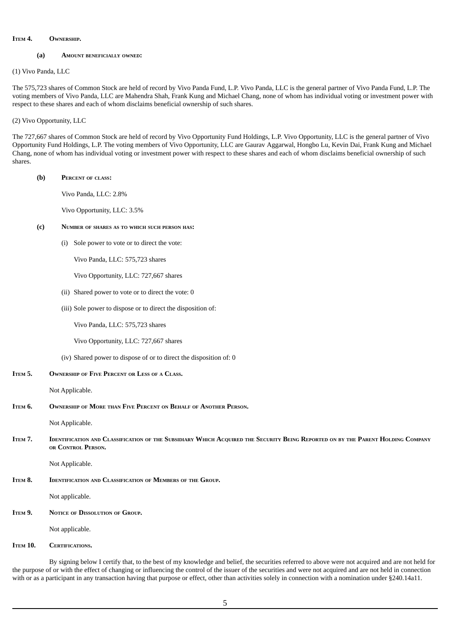#### **ITEM 4. OWNERSHIP.**

## **(a) AMOUNT BENEFICIALLY OWNED:**

(1) Vivo Panda, LLC

The 575,723 shares of Common Stock are held of record by Vivo Panda Fund, L.P. Vivo Panda, LLC is the general partner of Vivo Panda Fund, L.P. The voting members of Vivo Panda, LLC are Mahendra Shah, Frank Kung and Michael Chang, none of whom has individual voting or investment power with respect to these shares and each of whom disclaims beneficial ownership of such shares.

## (2) Vivo Opportunity, LLC

The 727,667 shares of Common Stock are held of record by Vivo Opportunity Fund Holdings, L.P. Vivo Opportunity, LLC is the general partner of Vivo Opportunity Fund Holdings, L.P. The voting members of Vivo Opportunity, LLC are Gaurav Aggarwal, Hongbo Lu, Kevin Dai, Frank Kung and Michael Chang, none of whom has individual voting or investment power with respect to these shares and each of whom disclaims beneficial ownership of such shares.

#### **(b) PERCENT OF CLASS:**

Vivo Panda, LLC: 2.8%

Vivo Opportunity, LLC: 3.5%

## **(c) NUMBER OF SHARES AS TO WHICH SUCH PERSON HAS:**

(i) Sole power to vote or to direct the vote:

Vivo Panda, LLC: 575,723 shares

Vivo Opportunity, LLC: 727,667 shares

- (ii) Shared power to vote or to direct the vote: 0
- (iii) Sole power to dispose or to direct the disposition of:

Vivo Panda, LLC: 575,723 shares

Vivo Opportunity, LLC: 727,667 shares

(iv) Shared power to dispose of or to direct the disposition of: 0

**ITEM 5. OWNERSHIP OF FIVE PERCENT OR LESS OF <sup>A</sup> CLASS.**

Not Applicable.

ITEM 6. OWNERSHIP OF MORE THAN FIVE PERCENT ON BEHALF OF ANOTHER PERSON.

Not Applicable.

ITEM 7. IDENTIFICATION AND CLASSIFICATION OF THE SUBSIDIARY WHICH ACQUIRED THE SECURITY BEING REPORTED ON BY THE PARENT HOLDING COMPANY **OR CONTROL PERSON.**

Not Applicable.

**ITEM 8. IDENTIFICATION AND CLASSIFICATION OF MEMBERS OF THE GROUP.**

Not applicable.

**ITEM 9. NOTICE OF DISSOLUTION OF GROUP.**

Not applicable.

**ITEM 10. CERTIFICATIONS.**

By signing below I certify that, to the best of my knowledge and belief, the securities referred to above were not acquired and are not held for the purpose of or with the effect of changing or influencing the control of the issuer of the securities and were not acquired and are not held in connection with or as a participant in any transaction having that purpose or effect, other than activities solely in connection with a nomination under §240.14a11.